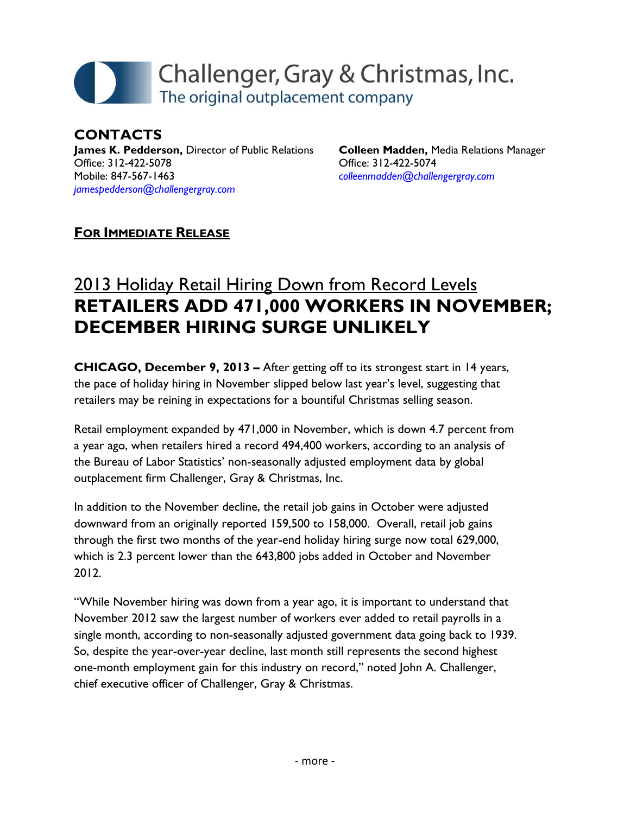# Challenger, Gray & Christmas, Inc. The original outplacement company

**CONTACTS James K. Pedderson,** Director of Public Relations Office: 312-422-5078 Mobile: 847-567-1463 *[jamespedderson@challengergray.com](mailto:jamespedderson@challengergray.com)*

**Colleen Madden,** Media Relations Manager Office: 312-422-5074 *[colleenmadden@challengergray.com](mailto:colleenmadden@challengergray.com)*

### **FOR IMMEDIATE RELEASE**

## 2013 Holiday Retail Hiring Down from Record Levels **RETAILERS ADD 471,000 WORKERS IN NOVEMBER; DECEMBER HIRING SURGE UNLIKELY**

**CHICAGO, December 9, 2013 –** After getting off to its strongest start in 14 years, the pace of holiday hiring in November slipped below last year's level, suggesting that retailers may be reining in expectations for a bountiful Christmas selling season.

Retail employment expanded by 471,000 in November, which is down 4.7 percent from a year ago, when retailers hired a record 494,400 workers, according to an analysis of the Bureau of Labor Statistics' non-seasonally adjusted employment data by global outplacement firm Challenger, Gray & Christmas, Inc.

In addition to the November decline, the retail job gains in October were adjusted downward from an originally reported 159,500 to 158,000. Overall, retail job gains through the first two months of the year-end holiday hiring surge now total 629,000, which is 2.3 percent lower than the 643,800 jobs added in October and November 2012.

"While November hiring was down from a year ago, it is important to understand that November 2012 saw the largest number of workers ever added to retail payrolls in a single month, according to non-seasonally adjusted government data going back to 1939. So, despite the year-over-year decline, last month still represents the second highest one-month employment gain for this industry on record," noted John A. Challenger, chief executive officer of Challenger, Gray & Christmas.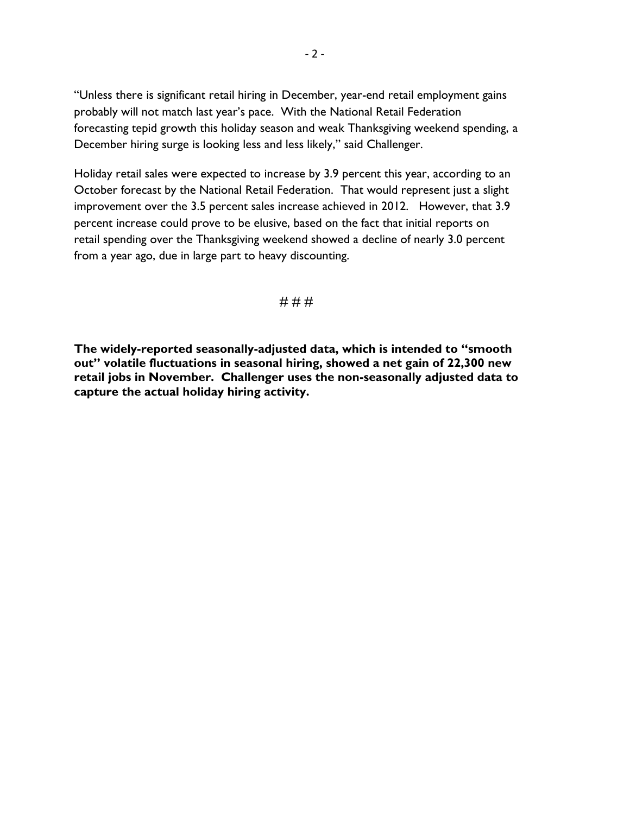"Unless there is significant retail hiring in December, year-end retail employment gains probably will not match last year's pace. With the National Retail Federation forecasting tepid growth this holiday season and weak Thanksgiving weekend spending, a December hiring surge is looking less and less likely," said Challenger.

Holiday retail sales were expected to increase by 3.9 percent this year, according to an October forecast by the National Retail Federation. That would represent just a slight improvement over the 3.5 percent sales increase achieved in 2012. However, that 3.9 percent increase could prove to be elusive, based on the fact that initial reports on retail spending over the Thanksgiving weekend showed a decline of nearly 3.0 percent from a year ago, due in large part to heavy discounting.

#### # # #

**The widely-reported seasonally-adjusted data, which is intended to "smooth out" volatile fluctuations in seasonal hiring, showed a net gain of 22,300 new retail jobs in November. Challenger uses the non-seasonally adjusted data to capture the actual holiday hiring activity.**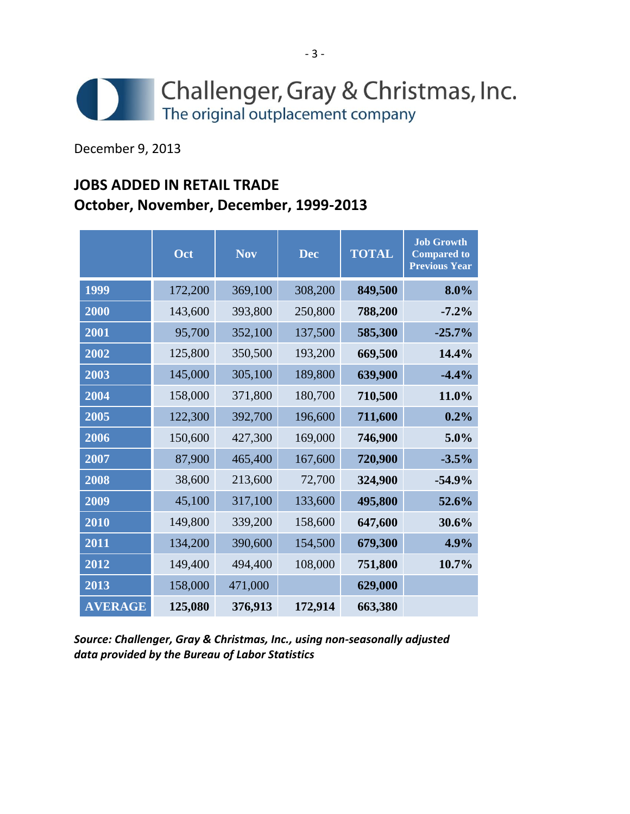

December 9, 2013

## **JOBS ADDED IN RETAIL TRADE October, November, December, 1999-2013**

|                | Oct     | <b>Nov</b> | <b>Dec</b> | <b>TOTAL</b> | <b>Job Growth</b><br><b>Compared to</b><br><b>Previous Year</b> |
|----------------|---------|------------|------------|--------------|-----------------------------------------------------------------|
| 1999           | 172,200 | 369,100    | 308,200    | 849,500      | 8.0%                                                            |
| 2000           | 143,600 | 393,800    | 250,800    | 788,200      | $-7.2%$                                                         |
| 2001           | 95,700  | 352,100    | 137,500    | 585,300      | $-25.7%$                                                        |
| 2002           | 125,800 | 350,500    | 193,200    | 669,500      | 14.4%                                                           |
| 2003           | 145,000 | 305,100    | 189,800    | 639,900      | $-4.4%$                                                         |
| 2004           | 158,000 | 371,800    | 180,700    | 710,500      | 11.0%                                                           |
| 2005           | 122,300 | 392,700    | 196,600    | 711,600      | 0.2%                                                            |
| 2006           | 150,600 | 427,300    | 169,000    | 746,900      | 5.0%                                                            |
| 2007           | 87,900  | 465,400    | 167,600    | 720,900      | $-3.5%$                                                         |
| 2008           | 38,600  | 213,600    | 72,700     | 324,900      | $-54.9%$                                                        |
| 2009           | 45,100  | 317,100    | 133,600    | 495,800      | 52.6%                                                           |
| 2010           | 149,800 | 339,200    | 158,600    | 647,600      | 30.6%                                                           |
| 2011           | 134,200 | 390,600    | 154,500    | 679,300      | 4.9%                                                            |
| 2012           | 149,400 | 494,400    | 108,000    | 751,800      | 10.7%                                                           |
| 2013           | 158,000 | 471,000    |            | 629,000      |                                                                 |
| <b>AVERAGE</b> | 125,080 | 376,913    | 172,914    | 663,380      |                                                                 |

*Source: Challenger, Gray & Christmas, Inc., using non-seasonally adjusted data provided by the Bureau of Labor Statistics*